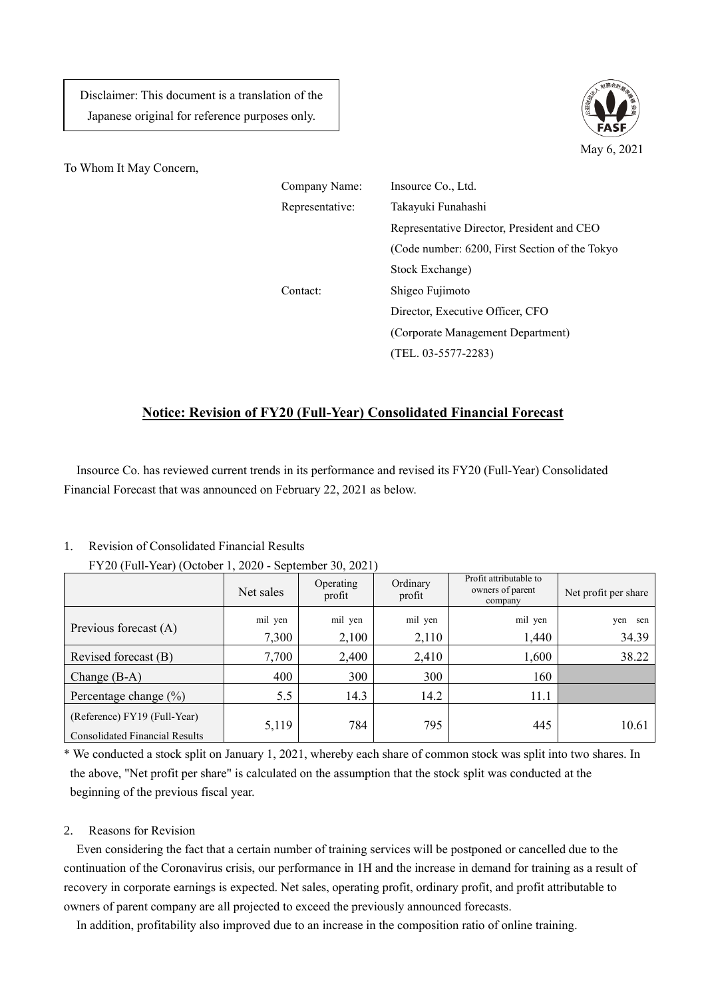Disclaimer: This document is a translation of the Japanese original for reference purposes only.



To Whom It May Concern,

| Company Name:   | Insource Co., Ltd.                             |  |  |  |
|-----------------|------------------------------------------------|--|--|--|
| Representative: | Takayuki Funahashi                             |  |  |  |
|                 | Representative Director, President and CEO     |  |  |  |
|                 | (Code number: 6200, First Section of the Tokyo |  |  |  |
|                 | Stock Exchange)                                |  |  |  |
| Contact:        | Shigeo Fujimoto                                |  |  |  |
|                 | Director, Executive Officer, CFO               |  |  |  |
|                 | (Corporate Management Department)              |  |  |  |
|                 | (TEL. 03-5577-2283)                            |  |  |  |

## **Notice: Revision of FY20 (Full-Year) Consolidated Financial Forecast**

Insource Co. has reviewed current trends in its performance and revised its FY20 (Full-Year) Consolidated Financial Forecast that was announced on February 22, 2021 as below.

## 1. Revision of Consolidated Financial Results

|                                                                       | Net sales | Operating<br>profit | Ordinary<br>profit | Profit attributable to<br>owners of parent<br>company | Net profit per share |
|-----------------------------------------------------------------------|-----------|---------------------|--------------------|-------------------------------------------------------|----------------------|
| Previous forecast (A)                                                 | mil yen   | mil yen             | mil yen            | mil yen                                               | yen<br>sen           |
|                                                                       | 7,300     | 2,100               | 2,110              | 1,440                                                 | 34.39                |
| Revised forecast (B)                                                  | 7,700     | 2,400               | 2,410              | 1,600                                                 | 38.22                |
| Change $(B-A)$                                                        | 400       | 300                 | 300                | 160                                                   |                      |
| Percentage change $(\%)$                                              | 5.5       | 14.3                | 14.2               | 11.1                                                  |                      |
| (Reference) FY19 (Full-Year)<br><b>Consolidated Financial Results</b> | 5,119     | 784                 | 795                | 445                                                   | 10.61                |

FY20 (Full-Year) (October 1, 2020 - September 30, 2021)

\* We conducted a stock split on January 1, 2021, whereby each share of common stock was split into two shares. In the above, "Net profit per share" is calculated on the assumption that the stock split was conducted at the beginning of the previous fiscal year.

## 2. Reasons for Revision

Even considering the fact that a certain number of training services will be postponed or cancelled due to the continuation of the Coronavirus crisis, our performance in 1H and the increase in demand for training as a result of recovery in corporate earnings is expected. Net sales, operating profit, ordinary profit, and profit attributable to owners of parent company are all projected to exceed the previously announced forecasts.

In addition, profitability also improved due to an increase in the composition ratio of online training.